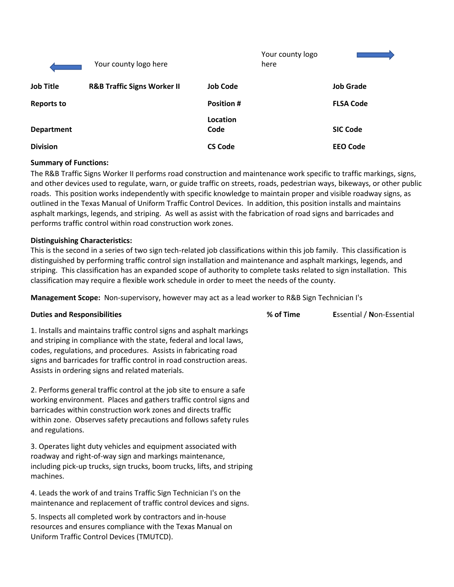|                   | Your county logo here                  |                   | Your county logo<br>here |                  |
|-------------------|----------------------------------------|-------------------|--------------------------|------------------|
| <b>Job Title</b>  | <b>R&amp;B Traffic Signs Worker II</b> | <b>Job Code</b>   |                          | <b>Job Grade</b> |
| <b>Reports to</b> |                                        | <b>Position #</b> |                          | <b>FLSA Code</b> |
| <b>Department</b> |                                        | Location<br>Code  |                          | <b>SIC Code</b>  |
| <b>Division</b>   |                                        | <b>CS Code</b>    |                          | <b>EEO Code</b>  |

# **Summary of Functions:**

The R&B Traffic Signs Worker II performs road construction and maintenance work specific to traffic markings, signs, and other devices used to regulate, warn, or guide traffic on streets, roads, pedestrian ways, bikeways, or other public roads. This position works independently with specific knowledge to maintain proper and visible roadway signs, as outlined in the Texas Manual of Uniform Traffic Control Devices. In addition, this position installs and maintains asphalt markings, legends, and striping. As well as assist with the fabrication of road signs and barricades and performs traffic control within road construction work zones.

## **Distinguishing Characteristics:**

This is the second in a series of two sign tech-related job classifications within this job family. This classification is distinguished by performing traffic control sign installation and maintenance and asphalt markings, legends, and striping. This classification has an expanded scope of authority to complete tasks related to sign installation. This classification may require a flexible work schedule in order to meet the needs of the county.

**Management Scope:** Non-supervisory, however may act as a lead worker to R&B Sign Technician I's

## **Duties and Responsibilities % of Time E**ssential / **N**on-Essential

1. Installs and maintains traffic control signs and asphalt markings and striping in compliance with the state, federal and local laws, codes, regulations, and procedures. Assists in fabricating road

2. Performs general traffic control at the job site to ensure a safe working environment. Places and gathers traffic control signs and barricades within construction work zones and directs traffic within zone. Observes safety precautions and follows safety rules and regulations.

signs and barricades for traffic control in road construction areas.

Assists in ordering signs and related materials.

3. Operates light duty vehicles and equipment associated with roadway and right-of-way sign and markings maintenance, including pick-up trucks, sign trucks, boom trucks, lifts, and striping machines.

4. Leads the work of and trains Traffic Sign Technician I's on the maintenance and replacement of traffic control devices and signs.

5. Inspects all completed work by contractors and in-house resources and ensures compliance with the Texas Manual on Uniform Traffic Control Devices (TMUTCD).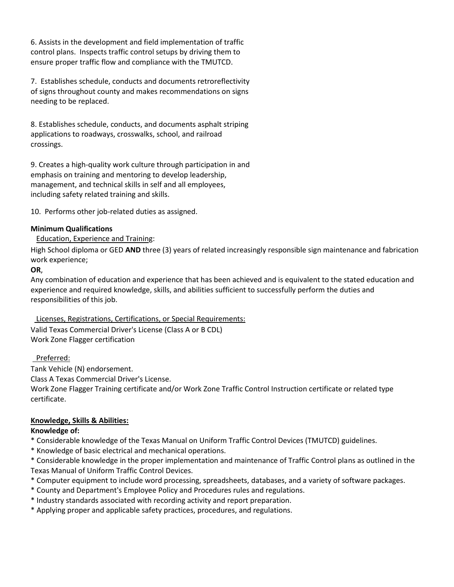6. Assists in the development and field implementation of traffic control plans. Inspects traffic control setups by driving them to ensure proper traffic flow and compliance with the TMUTCD.

7. Establishes schedule, conducts and documents retroreflectivity of signs throughout county and makes recommendations on signs needing to be replaced.

8. Establishes schedule, conducts, and documents asphalt striping applications to roadways, crosswalks, school, and railroad crossings.

9. Creates a high-quality work culture through participation in and emphasis on training and mentoring to develop leadership, management, and technical skills in self and all employees, including safety related training and skills.

10. Performs other job-related duties as assigned.

# **Minimum Qualifications**

# Education, Experience and Training:

High School diploma or GED **AND** three (3) years of related increasingly responsible sign maintenance and fabrication work experience;

## **OR**,

Any combination of education and experience that has been achieved and is equivalent to the stated education and experience and required knowledge, skills, and abilities sufficient to successfully perform the duties and responsibilities of this job.

## Licenses, Registrations, Certifications, or Special Requirements:

Valid Texas Commercial Driver's License (Class A or B CDL) Work Zone Flagger certification

# Preferred:

Tank Vehicle (N) endorsement.

Class A Texas Commercial Driver's License.

Work Zone Flagger Training certificate and/or Work Zone Traffic Control Instruction certificate or related type certificate.

# **Knowledge, Skills & Abilities:**

## **Knowledge of:**

- \* Considerable knowledge of the Texas Manual on Uniform Traffic Control Devices (TMUTCD) guidelines.
- \* Knowledge of basic electrical and mechanical operations.
- \* Considerable knowledge in the proper implementation and maintenance of Traffic Control plans as outlined in the Texas Manual of Uniform Traffic Control Devices.
- \* Computer equipment to include word processing, spreadsheets, databases, and a variety of software packages.
- \* County and Department's Employee Policy and Procedures rules and regulations.
- \* Industry standards associated with recording activity and report preparation.
- \* Applying proper and applicable safety practices, procedures, and regulations.